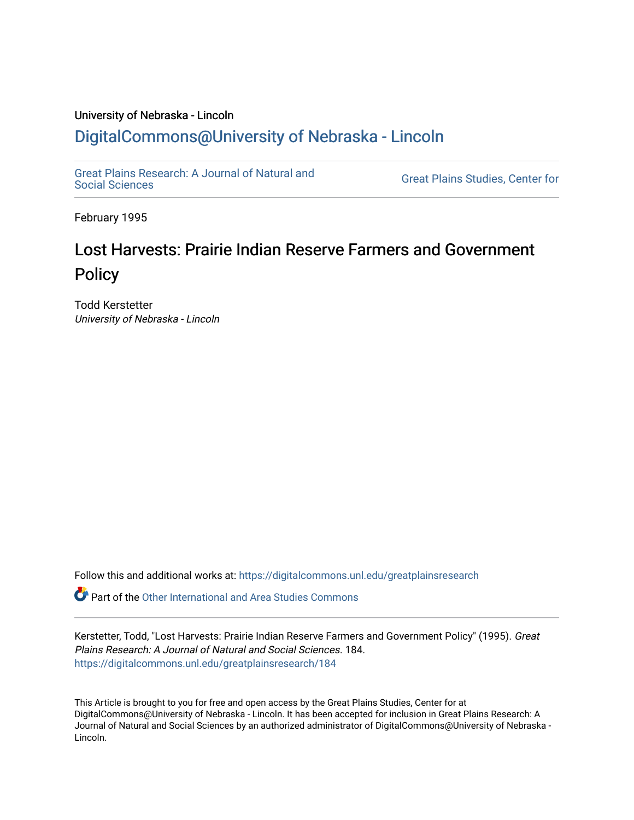## University of Nebraska - Lincoln [DigitalCommons@University of Nebraska - Lincoln](https://digitalcommons.unl.edu/)

[Great Plains Research: A Journal of Natural and](https://digitalcommons.unl.edu/greatplainsresearch) 

**Great Plains Studies, Center for** 

February 1995

## Lost Harvests: Prairie Indian Reserve Farmers and Government **Policy**

Todd Kerstetter University of Nebraska - Lincoln

Follow this and additional works at: [https://digitalcommons.unl.edu/greatplainsresearch](https://digitalcommons.unl.edu/greatplainsresearch?utm_source=digitalcommons.unl.edu%2Fgreatplainsresearch%2F184&utm_medium=PDF&utm_campaign=PDFCoverPages) 

**P** Part of the [Other International and Area Studies Commons](http://network.bepress.com/hgg/discipline/365?utm_source=digitalcommons.unl.edu%2Fgreatplainsresearch%2F184&utm_medium=PDF&utm_campaign=PDFCoverPages)

Kerstetter, Todd, "Lost Harvests: Prairie Indian Reserve Farmers and Government Policy" (1995). Great Plains Research: A Journal of Natural and Social Sciences. 184. [https://digitalcommons.unl.edu/greatplainsresearch/184](https://digitalcommons.unl.edu/greatplainsresearch/184?utm_source=digitalcommons.unl.edu%2Fgreatplainsresearch%2F184&utm_medium=PDF&utm_campaign=PDFCoverPages) 

This Article is brought to you for free and open access by the Great Plains Studies, Center for at DigitalCommons@University of Nebraska - Lincoln. It has been accepted for inclusion in Great Plains Research: A Journal of Natural and Social Sciences by an authorized administrator of DigitalCommons@University of Nebraska - Lincoln.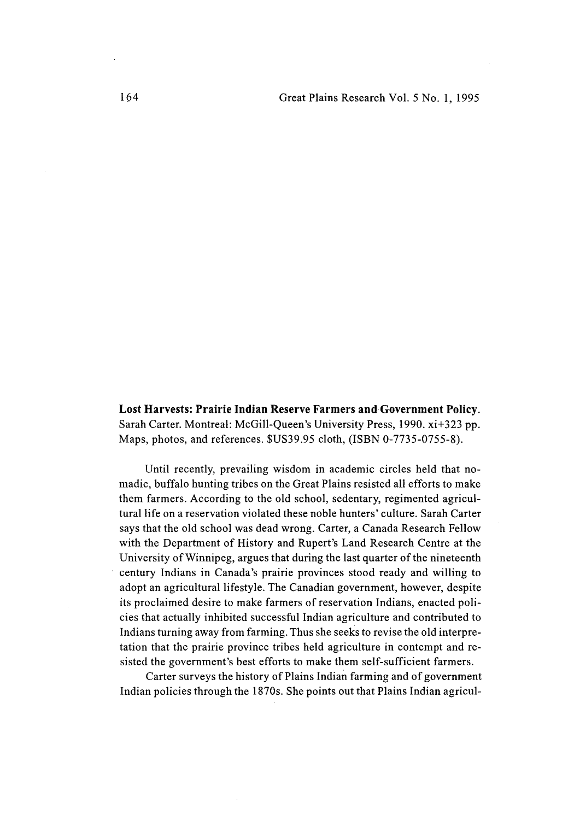Lost Harvests: Prairie **Indian** Reserve Farmers and Government Policy. Sarah Carter. Montreal: McGill-Queen's University Press, 1990. xi+323 pp. Maps, photos, and references. \$US39.95 cloth, (ISBN 0-7735-0755-8).

Until recently, prevailing wisdom in academic circles held that nomadic, buffalo hunting tribes on the Great Plains resisted all efforts to make them farmers. According to the old school, sedentary, regimented agriculturallife on a reservation violated these noble hunters' culture. Sarah Carter says that the old school was dead wrong. Carter, a Canada Research Fellow with the Department of History and Rupert's Land Research Centre at the University of Winnipeg, argues that during the last quarter of the nineteenth century Indians in Canada's prairie provinces stood ready and willing to adopt an agricultural lifestyle. The Canadian government, however, despite its proclaimed desire to make farmers of reservation Indians, enacted policies that actually inhibited successful Indian agriculture and contributed to Indians turning away from farming. Thus she seeks to revise the old interpretation that the prairie province tribes held agriculture in contempt and resisted the government's best efforts to make them self-sufficient farmers.

Carter surveys the history of Plains Indian farming and of government Indian policies through the 1870s. She points out that Plains Indian agricul-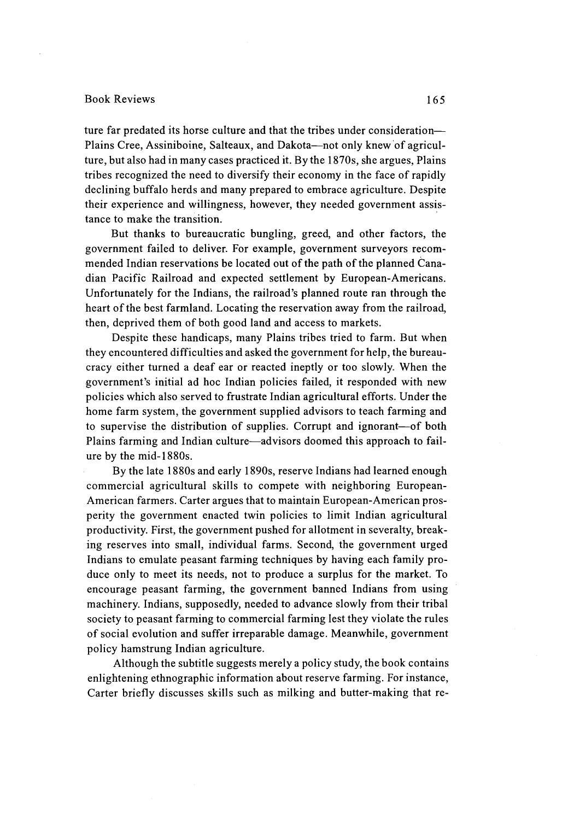## Book Reviews 165

ture far predated its horse culture and that the tribes under consideration-Plains Cree, Assiniboine, Salteaux, and Dakota—not only knew of agriculture, but also had in many cases practiced it. By the l870s, she argues, Plains tribes recognized the need to diversify their economy in the face of rapidly declining buffalo herds and many prepared to embrace agriculture. Despite their experience and willingness, however, they needed government assistance to make the transition.

But thanks to bureaucratic bungling, greed, and other factors, the government failed to deliver. For example, government surveyors recommended Indian reservations be located out of the path of the planned Canadian Pacific Railroad and expected settlement by European-Americans. Unfortunately for the Indians, the railroad's planned route ran through the heart of the best farmland. Locating the reservation away from the railroad, then, deprived them of both good land and access to markets.

Despite these handicaps, many Plains tribes tried to farm. But When they encountered difficulties and asked the government for help, the bureaucracy either turned a deaf ear or reacted ineptly or too slowly. When the government's initial ad hoc Indian policies failed, it responded with new policies which also served to frustrate Indian agricultural efforts. Under the home farm system, the government supplied advisors to teach farming and to supervise the distribution of supplies. Corrupt and ignorant-of both Plains farming and Indian culture-advisors doomed this approach to failure by the mid-1880s.

By the late 1880s and early 1890s, reserve Indians had learned enough commercial agricultural skills to compete with neighboring European-American farmers. Carter argues that to maintain European-American prosperity the government enacted twin policies to limit Indian agricultural productivity. First, the government pushed for allotment in severalty, breaking reserves into small, individual farms. Second, the government urged Indians to emulate peasant farming techniques by having each family produce only to meet its needs, not to produce a surplus for the market. To encourage peasant farming, the government banned Indians from using machinery. Indians, supposedly, needed to advance slowly from their tribal society to peasant farming to commercial farming lest they violate the rules of social evolution and suffer irreparable damage. Meanwhile, government policy hamstrung Indian agriculture.

Although the subtitle suggests merely a policy study, the book contains enlightening ethnographic information about reserve farming. For instance, Carter briefly discusses skills such as milking and butter-making that re